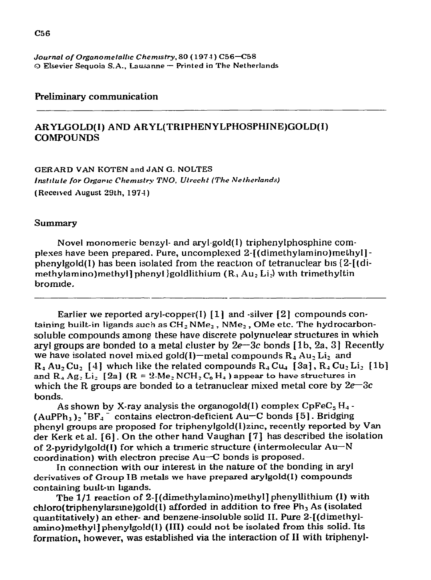#### *Journal of Organometallrc Chemrstry, 80* **(197-f)** *C56-C58 0 Ekevier* Sequoia S.A., busanne - Printed in **The** Netherlands

### **Preliminary communication**

## ARYLGOLD(I) AND ARYL(TRIPHENYLPHOSPHINE)GOLD(I) **COMPOUNDS**

**GERARD VAN KOTEN and JAN G. NOLTES Institute for Organic Chemistry TNO, Utrecht (The Netherlands) (Received August 29th, 197-I)** 

#### Summary

**Novel monomeric** benzyl- and aryl-gold( I) triphenylphosphine complexes have been prepared. Pure, uncomplesed 2-[(dimethylamino)methyl] phenylgold(I) has been isolated from the reaction of tetranuclear bis  ${2-[d-i]}$ methylamino)methyl] phenyl goldlithium  $(R_4 Au_2 Li_2)$  with trimethyltin bromide.

Earlier we reported aryl-copper(I)  $[1]$  and -silver  $[2]$  compounds containing built-in **ligands such as** CH, NMez , NMe2, OMe **etc.** The hydrocarbonsoluble compounds among these have discrete polynuclear structures in which aryl groups are bonded to a metal cluster by  $2e-3c$  bonds [1b, 2a, 3] Recently we have isolated novel mixed gold(I)-metal compounds  $R_4$  Au, Li<sub>2</sub> and  $R_4Au_2Cu_1$  [4] which like the related compounds  $R_4Cu_4$  [3a],  $R_4Cu_2Li_2$  [1b] and  $R_4$  Ag<sub>2</sub> L<sub>i<sub>2</sub></sub> [2a]  $(R = 2$ -Me<sub>2</sub> NCH<sub>2</sub> C<sub>6</sub> H<sub>4</sub>) appear to have structures in which the R groups are bonded to a tetranuclear mixed metal core by  $2e-3c$ bonds.

As shown by X-ray analysis the organogold(I) complex  $CpFeC<sub>5</sub>H<sub>4</sub>$  - $(AuPPh<sub>3</sub>)<sub>2</sub>$ <sup>+</sup>BF<sub>4</sub> contains electron-deficient Au-C bonds [5]. Bridging phenyl groups are proposed for triphenylgold(I)zinc, recently reported by Van der Kerk et al. [6]. **On the** other **hand Vaughan [7] has described the isolation**  of 2-pyridylgold(I) for which a trimeric structure (intermolecular Au-N **coordination) with electron precise Au-C bonds is proposed.** 

**In connection with our interest in the nature of the bonding in aryl**  derivatives of Group IB metals we have prepared arylgold(I) compounds **containing bullt-m hgands.** 

**The l/l reaction of 2-[(dimethylamino)methyl] phenyllithium (I) with chloro(triphenylarsme)gold( i) afforded in addition to free** Ph3 As (isolated quantitatively) an ether- and benzene-insoluble solid II. Pure 2-[(dimethylamino)methyl] phenylgold(I) (III) could not be isolated from this solid. Its formation, however, was established via the interaction of II with triphenyl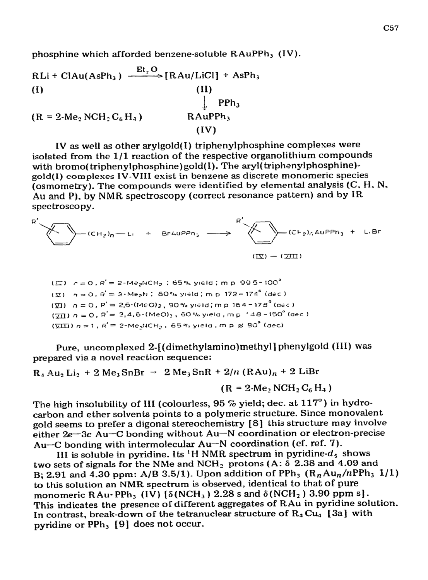phosphine which afforded benzene-soluble RAuPPh<sub>3</sub> (IV).

 $RLi + ClAu(AsPh<sub>3</sub>) \xrightarrow{Et<sub>2</sub>O} [RAu/LiCl] + AsPh<sub>3</sub>$  $(II)$  $(I)$  $\mathbf{L}$  $PPh<sub>3</sub>$ RAuPPh<sub>3</sub>  $(R = 2$ -Me<sub>2</sub> NCH<sub>2</sub> C<sub>6</sub> H<sub>4</sub>)  $(IV)$ 

IV as well as other arylgold(I) triphenylphosphine complexes were isolated from the 1/1 reaction of the respective organolithium compounds with bromo(triphenylphosphine)gold(I). The aryl(triphenylphosphine)gold(I) complexes IV-VIII exist in benzene as discrete monomeric species (osmometry). The compounds were identified by elemental analysis  $(C, H, N,$ Au and P), by NMR spectroscopy (correct resonance pattern) and by IR spectroscopy.

$$
R' \longrightarrow (CH_2)_n - L_1 + ErruPPn_3 \longrightarrow R' \longrightarrow (C+_{2})_GAUPPn_3 + LBF
$$
  

$$
(\mathbb{E}) - (\mathbb{E})
$$

 $(\Box)$   $c = 0$ ,  $R' = 2$ -Me<sub>2</sub>NCH<sub>2</sub>; 65% yield; m p 995-100<sup>°</sup>  $(\bar{x})$   $\eta = 0$ ,  $\beta' = 2$ -Me<sub>2</sub>N; 80% yield; m.p. 172 – 174<sup>°</sup> (dec.)  $(\sqrt{11})$   $n = 0$ ,  $P' = 2.5$ -(MeO)<sub>2</sub>, 90% yield; m.p. 164-178<sup>°</sup> (dec.)  $(\overline{21})$  n = 0, R<sup>'</sup> = 2,4,6-(MeO)<sub>3</sub>, 60% yield, mp  $148 - 150^{\circ}$  (dec.)  $(\sqrt{211})$   $n = 1$ ,  $R' = 2$ -Me<sub>2</sub>NCH<sub>2</sub>, 65% yield, m p  $\approx 90^{\circ}$  (dec)

Pure, uncomplexed 2-[(dimethylamino)methyl] phenylgold (III) was prepared via a novel reaction sequence:

# $R_1$  Au, Li, + 2 Me<sub>3</sub>SnBr  $\rightarrow$  2 Me<sub>3</sub>SnR + 2/n (RAu)<sub>n</sub> + 2 LiBr

 $(R = 2$ -Me, NCH<sub>2</sub> C<sub>6</sub> H<sub>4</sub>)

The high insolubility of III (colourless,  $95\%$  yield; dec. at  $117^\circ$ ) in hydrocarbon and ether solvents points to a polymeric structure. Since monovalent gold seems to prefer a digonal stereochemistry [8] this structure may involve either  $2e-3c$  Au-C bonding without Au-N coordination or electron-precise Au-C bonding with intermolecular Au-N coordination (cf. ref. 7).

III is soluble in pyridine. Its <sup>1</sup>H NMR spectrum in pyridine- $d_5$  shows two sets of signals for the NMe and NCH<sub>2</sub> protons (A:  $\delta$  2.38 and 4.09 and B: 2.91 and 4.30 ppm: A/B 3.5/1). Upon addition of PPh<sub>3</sub>  $(R_n A u_n/n$ PPh<sub>3</sub> 1/1) to this solution an NMR spectrum is observed, identical to that of pure monomeric RAu-PPh<sub>3</sub> (IV) [ $\delta(NCH_3)$  2.28 s and  $\delta(NCH_2)$  3.90 ppm s]. This indicates the presence of different aggregates of RAu in pyridine solution. In contrast, break-down of the tetranuclear structure of  $R_4 Cu_4$  [3a] with pyridine or PPh<sub>3</sub> [9] does not occur.